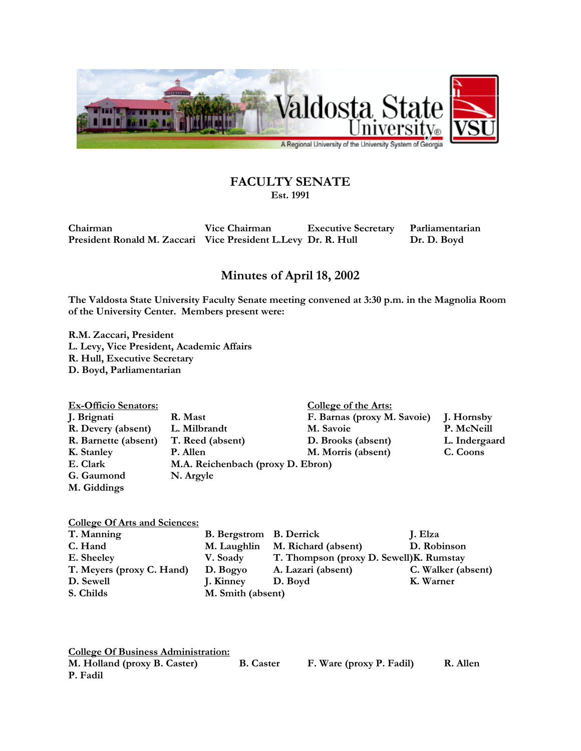

## **FACULTY SENATE**

**Est. 1991** 

**Chairman Vice Chairman Executive Secretary Parliamentarian**  President Ronald M. Zaccari Vice President L. Levy Dr. R. Hull Dr. D. Boyd

## **Minutes of April 18, 2002**

**The Valdosta State University Faculty Senate meeting convened at 3:30 p.m. in the Magnolia Room of the University Center. Members present were:** 

**R.M. Zaccari, President L. Levy, Vice President, Academic Affairs R. Hull, Executive Secretary D. Boyd, Parliamentarian** 

| <b>Ex-Officio Senators:</b> |                                   | College of the Arts:        |               |
|-----------------------------|-----------------------------------|-----------------------------|---------------|
| J. Brignati                 | R. Mast                           | F. Barnas (proxy M. Savoie) | J. Hornsby    |
| R. Devery (absent)          | L. Milbrandt                      | M. Savoie                   | P. McNeill    |
| R. Barnette (absent)        | T. Reed (absent)                  | D. Brooks (absent)          | L. Indergaard |
| K. Stanley                  | P. Allen                          | M. Morris (absent)          | C. Coons      |
| E. Clark                    | M.A. Reichenbach (proxy D. Ebron) |                             |               |
| G. Gaumond                  | N. Argyle                         |                             |               |
| M. Giddings                 |                                   |                             |               |

## **College Of Arts and Sciences:**

| T. Manning                | <b>B.</b> Bergstrom B. Derrick |                                          | J. Elza            |
|---------------------------|--------------------------------|------------------------------------------|--------------------|
| C. Hand                   | M. Laughlin                    | M. Richard (absent)                      | D. Robinson        |
| E. Sheeley                | V. Soady                       | T. Thompson (proxy D. Sewell) K. Rumstay |                    |
| T. Meyers (proxy C. Hand) | D. Bogyo                       | A. Lazari (absent)                       | C. Walker (absent) |
| D. Sewell                 | J. Kinney                      | D. Boyd                                  | K. Warner          |
| S. Childs                 | M. Smith (absent)              |                                          |                    |

**College Of Business Administration:**

**M. Holland (proxy B. Caster) B. Caster F. Ware (proxy P. Fadil) R. Allen P. Fadil**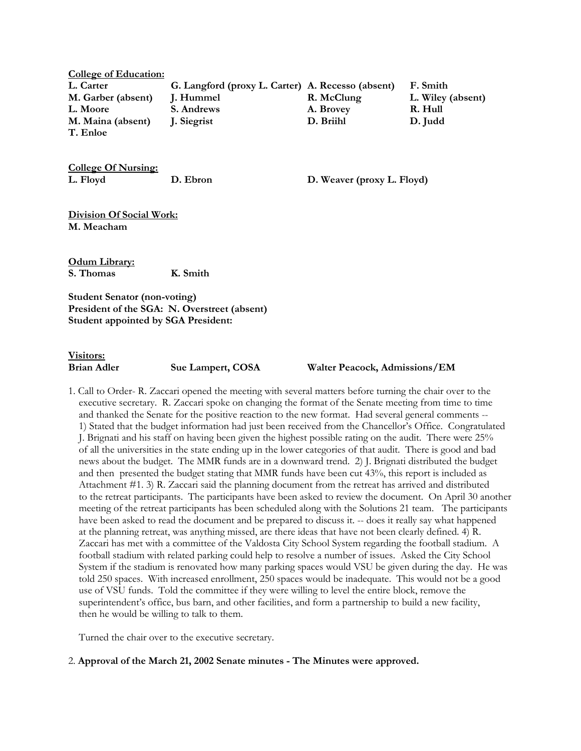**College of Education: L. Carter G. Langford (proxy L. Carter) A. Recesso (absent) F. Smith M. Garber (absent) J. Hummel R. McClung L. Wiley (absent) L. Moore S. Andrews A. Brovey R. Hull M. Maina (absent) J. Siegrist D. Briihl D. Judd T. Enloe** 

**College Of Nursing: L. Floyd D. Ebron D. Weaver (proxy L. Floyd)** 

**Division Of Social Work: M. Meacham** 

**Odum Library: S. Thomas K. Smith** 

**Student Senator (non-voting) President of the SGA: N. Overstreet (absent) Student appointed by SGA President:** 

**Visitors:**

**Brian Adler Sue Lampert, COSA Walter Peacock, Admissions/EM** 

1. Call to Order- R. Zaccari opened the meeting with several matters before turning the chair over to the executive secretary. R. Zaccari spoke on changing the format of the Senate meeting from time to time and thanked the Senate for the positive reaction to the new format. Had several general comments -- 1) Stated that the budget information had just been received from the Chancellor's Office. Congratulated J. Brignati and his staff on having been given the highest possible rating on the audit. There were 25% of all the universities in the state ending up in the lower categories of that audit. There is good and bad news about the budget. The MMR funds are in a downward trend. 2) J. Brignati distributed the budget and then presented the budget stating that MMR funds have been cut 43%, this report is included as Attachment #1. 3) R. Zaccari said the planning document from the retreat has arrived and distributed to the retreat participants. The participants have been asked to review the document. On April 30 another meeting of the retreat participants has been scheduled along with the Solutions 21 team. The participants have been asked to read the document and be prepared to discuss it. -- does it really say what happened at the planning retreat, was anything missed, are there ideas that have not been clearly defined. 4) R. Zaccari has met with a committee of the Valdosta City School System regarding the football stadium. A football stadium with related parking could help to resolve a number of issues. Asked the City School System if the stadium is renovated how many parking spaces would VSU be given during the day. He was told 250 spaces. With increased enrollment, 250 spaces would be inadequate. This would not be a good use of VSU funds. Told the committee if they were willing to level the entire block, remove the superintendent's office, bus barn, and other facilities, and form a partnership to build a new facility, then he would be willing to talk to them.

Turned the chair over to the executive secretary.

2. **Approval of the March 21, 2002 Senate minutes - The Minutes were approved.**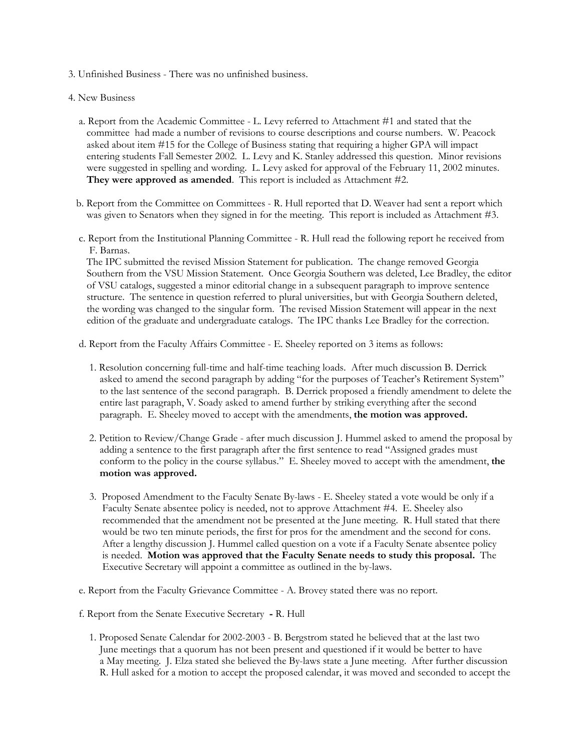- 3. Unfinished Business There was no unfinished business.
- 4. New Business
	- a. Report from the Academic Committee L. Levy referred to Attachment #1 and stated that the committee had made a number of revisions to course descriptions and course numbers. W. Peacock asked about item #15 for the College of Business stating that requiring a higher GPA will impact entering students Fall Semester 2002. L. Levy and K. Stanley addressed this question. Minor revisions were suggested in spelling and wording. L. Levy asked for approval of the February 11, 2002 minutes. **They were approved as amended**. This report is included as Attachment #2.
	- b. Report from the Committee on Committees R. Hull reported that D. Weaver had sent a report which was given to Senators when they signed in for the meeting. This report is included as Attachment #3.
	- c. Report from the Institutional Planning Committee R. Hull read the following report he received from F. Barnas.

 The IPC submitted the revised Mission Statement for publication. The change removed Georgia Southern from the VSU Mission Statement. Once Georgia Southern was deleted, Lee Bradley, the editor of VSU catalogs, suggested a minor editorial change in a subsequent paragraph to improve sentence structure. The sentence in question referred to plural universities, but with Georgia Southern deleted, the wording was changed to the singular form. The revised Mission Statement will appear in the next edition of the graduate and undergraduate catalogs. The IPC thanks Lee Bradley for the correction.

d. Report from the Faculty Affairs Committee - E. Sheeley reported on 3 items as follows:

- 1. Resolution concerning full-time and half-time teaching loads. After much discussion B. Derrick asked to amend the second paragraph by adding "for the purposes of Teacher's Retirement System" to the last sentence of the second paragraph. B. Derrick proposed a friendly amendment to delete the entire last paragraph, V. Soady asked to amend further by striking everything after the second paragraph. E. Sheeley moved to accept with the amendments, **the motion was approved.**
- 2. Petition to Review/Change Grade after much discussion J. Hummel asked to amend the proposal by adding a sentence to the first paragraph after the first sentence to read "Assigned grades must conform to the policy in the course syllabus." E. Sheeley moved to accept with the amendment, **the motion was approved.**
- 3. Proposed Amendment to the Faculty Senate By-laws E. Sheeley stated a vote would be only if a Faculty Senate absentee policy is needed, not to approve Attachment #4. E. Sheeley also recommended that the amendment not be presented at the June meeting. R. Hull stated that there would be two ten minute periods, the first for pros for the amendment and the second for cons. After a lengthy discussion J. Hummel called question on a vote if a Faculty Senate absentee policy is needed. **Motion was approved that the Faculty Senate needs to study this proposal.** The Executive Secretary will appoint a committee as outlined in the by-laws.

e. Report from the Faculty Grievance Committee - A. Brovey stated there was no report.

f. Report from the Senate Executive Secretary **-** R. Hull

 1. Proposed Senate Calendar for 2002-2003 - B. Bergstrom stated he believed that at the last two June meetings that a quorum has not been present and questioned if it would be better to have a May meeting. J. Elza stated she believed the By-laws state a June meeting. After further discussion R. Hull asked for a motion to accept the proposed calendar, it was moved and seconded to accept the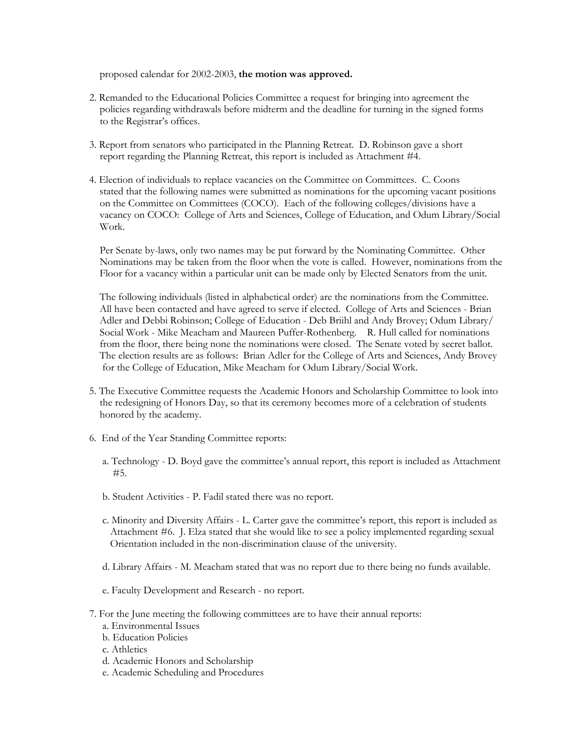proposed calendar for 2002-2003, **the motion was approved.**

- 2. Remanded to the Educational Policies Committee a request for bringing into agreement the policies regarding withdrawals before midterm and the deadline for turning in the signed forms to the Registrar's offices.
- 3. Report from senators who participated in the Planning Retreat. D. Robinson gave a short report regarding the Planning Retreat, this report is included as Attachment #4.
- 4. Election of individuals to replace vacancies on the Committee on Committees. C. Coons stated that the following names were submitted as nominations for the upcoming vacant positions on the Committee on Committees (COCO). Each of the following colleges/divisions have a vacancy on COCO: College of Arts and Sciences, College of Education, and Odum Library/Social Work.

 Per Senate by-laws, only two names may be put forward by the Nominating Committee. Other Nominations may be taken from the floor when the vote is called. However, nominations from the Floor for a vacancy within a particular unit can be made only by Elected Senators from the unit.

 The following individuals (listed in alphabetical order) are the nominations from the Committee. All have been contacted and have agreed to serve if elected. College of Arts and Sciences - Brian Adler and Debbi Robinson; College of Education - Deb Briihl and Andy Brovey; Odum Library/ Social Work - Mike Meacham and Maureen Puffer-Rothenberg. R. Hull called for nominations from the floor, there being none the nominations were closed. The Senate voted by secret ballot. The election results are as follows: Brian Adler for the College of Arts and Sciences, Andy Brovey for the College of Education, Mike Meacham for Odum Library/Social Work.

- 5. The Executive Committee requests the Academic Honors and Scholarship Committee to look into the redesigning of Honors Day, so that its ceremony becomes more of a celebration of students honored by the academy.
- 6. End of the Year Standing Committee reports:
	- a. Technology D. Boyd gave the committee's annual report, this report is included as Attachment #5.
	- b. Student Activities P. Fadil stated there was no report.
	- c. Minority and Diversity Affairs L. Carter gave the committee's report, this report is included as Attachment #6. J. Elza stated that she would like to see a policy implemented regarding sexual Orientation included in the non-discrimination clause of the university.
	- d. Library Affairs M. Meacham stated that was no report due to there being no funds available.
	- e. Faculty Development and Research no report.
- 7. For the June meeting the following committees are to have their annual reports:
	- a. Environmental Issues
	- b. Education Policies
	- c. Athletics
	- d. Academic Honors and Scholarship
	- e. Academic Scheduling and Procedures